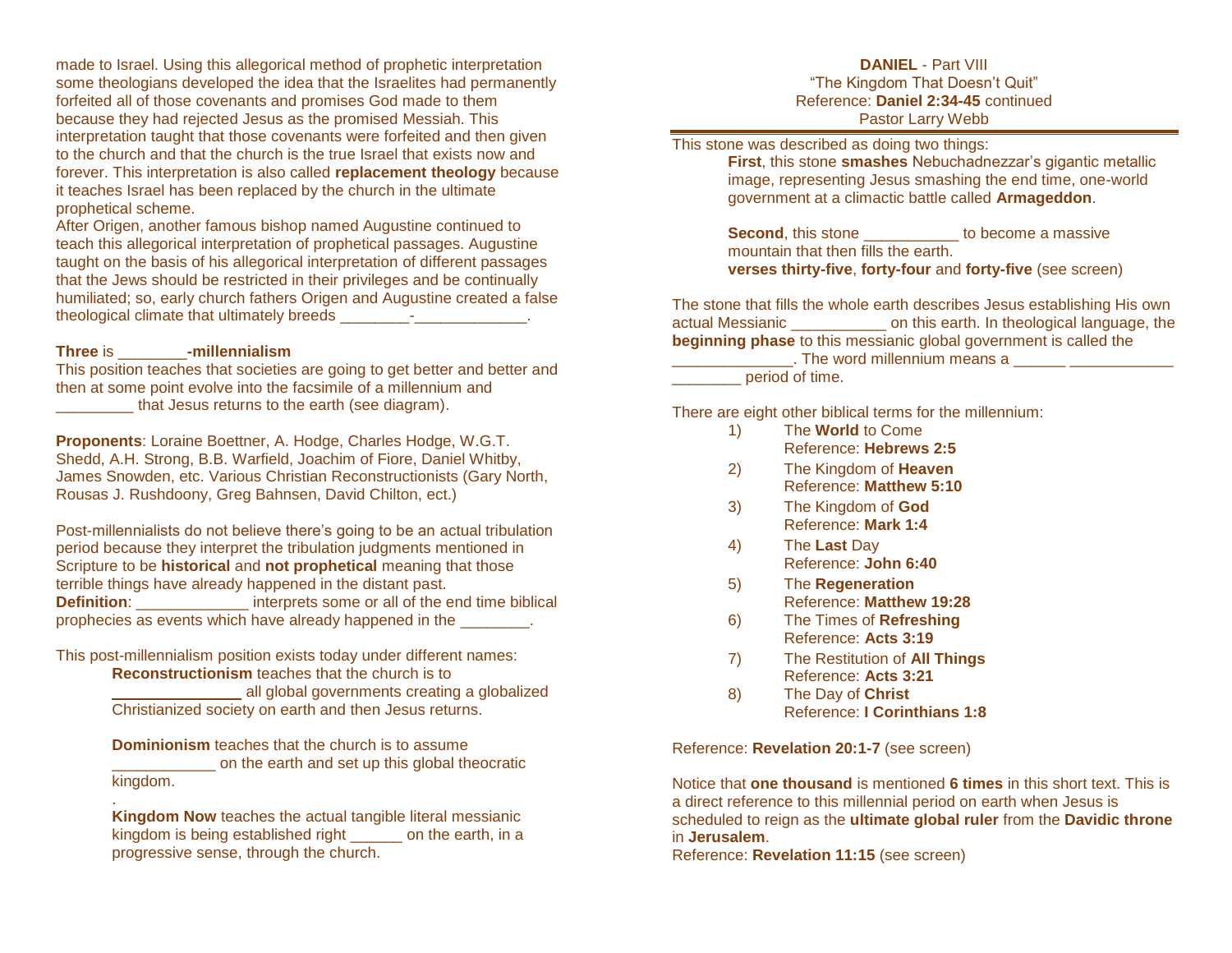made to Israel. Using this allegorical method of prophetic interpretation some theologians developed the idea that the Israelites had permanently forfeited all of those covenants and promises God made to them because they had rejected Jesus as the promised Messiah. This interpretation taught that those covenants were forfeited and then given to the church and that the church is the true Israel that exists now and forever. This interpretation is also called **replacement theology** because it teaches Israel has been replaced by the church in the ultimate prophetical scheme.

After Origen, another famous bishop named Augustine continued to teach this allegorical interpretation of prophetical passages. Augustine taught on the basis of his allegorical interpretation of different passages that the Jews should be restricted in their privileges and be continually humiliated; so, early church fathers Origen and Augustine created a false theological climate that ultimately breeds  $\qquad \qquad -$ 

# **Three** is \_\_\_\_\_\_\_\_**-millennialism**

.

This position teaches that societies are going to get better and better and then at some point evolve into the facsimile of a millennium and that Jesus returns to the earth (see diagram).

**Proponents**: Loraine Boettner, A. Hodge, Charles Hodge, W.G.T. Shedd, A.H. Strong, B.B. Warfield, Joachim of Fiore, Daniel Whitby, James Snowden, etc. Various Christian Reconstructionists (Gary North, Rousas J. Rushdoony, Greg Bahnsen, David Chilton, ect.)

Post-millennialists do not believe there's going to be an actual tribulation period because they interpret the tribulation judgments mentioned in Scripture to be **historical** and **not prophetical** meaning that those terrible things have already happened in the distant past. **Definition:** \_\_\_\_\_\_\_\_\_\_\_\_\_\_ interprets some or all of the end time biblical prophecies as events which have already happened in the \_\_\_\_\_\_\_\_.

This post-millennialism position exists today under different names:

**Reconstructionism** teaches that the church is to \_\_\_\_\_\_\_\_\_\_\_\_\_\_\_ all global governments creating a globalized

Christianized society on earth and then Jesus returns.

**Dominionism** teaches that the church is to assume **The searth and set up this global theocratic** kingdom.

**Kingdom Now** teaches the actual tangible literal messianic kingdom is being established right on the earth, in a progressive sense, through the church.

## **DANIEL** - Part VIII "The Kingdom That Doesn't Quit" Reference: **Daniel 2:34-45** continued Pastor Larry Webb

This stone was described as doing two things:

**First**, this stone **smashes** Nebuchadnezzar's gigantic metallic image, representing Jesus smashing the end time, one-world government at a climactic battle called **Armageddon**.

**Second**, this stone \_\_\_\_\_\_\_\_\_\_\_\_ to become a massive mountain that then fills the earth. **verses thirty-five**, **forty-four** and **forty-five** (see screen)

The stone that fills the whole earth describes Jesus establishing His own actual Messianic \_\_\_\_\_\_\_\_\_\_\_ on this earth. In theological language, the **beginning phase** to this messianic global government is called the

\_\_\_\_\_\_\_\_\_\_\_\_\_\_\_\_\_. The word millennium means a \_\_\_\_\_\_ \_\_\_\_\_\_\_\_\_\_\_\_\_\_\_\_\_\_\_\_\_\_\_\_\_\_ period of time.

There are eight other biblical terms for the millennium:

- 1) The **World** to Come Reference: **Hebrews 2:5**
- 2) The Kingdom of **Heaven** Reference: **Matthew 5:10**
- 3) The Kingdom of **God** Reference: **Mark 1:4**
- 4) The **Last** Day Reference: **John 6:40**
- 5) The **Regeneration** Reference: **Matthew 19:28**
- 6) The Times of **Refreshing** Reference: **Acts 3:19**
- 7) The Restitution of **All Things** Reference: **Acts 3:21**
- 8) The Day of **Christ** Reference: **I Corinthians 1:8**

Reference: **Revelation 20:1-7** (see screen)

Notice that **one thousand** is mentioned **6 times** in this short text. This is a direct reference to this millennial period on earth when Jesus is scheduled to reign as the **ultimate global ruler** from the **Davidic throne** in **Jerusalem**.

Reference: **Revelation 11:15** (see screen)